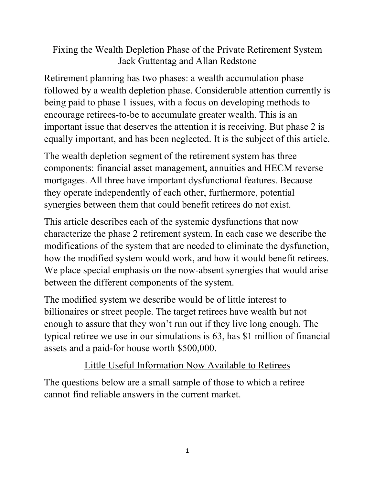### Fixing the Wealth Depletion Phase of the Private Retirement System Jack Guttentag and Allan Redstone

Retirement planning has two phases: a wealth accumulation phase followed by a wealth depletion phase. Considerable attention currently is being paid to phase 1 issues, with a focus on developing methods to encourage retirees-to-be to accumulate greater wealth. This is an important issue that deserves the attention it is receiving. But phase 2 is equally important, and has been neglected. It is the subject of this article.

The wealth depletion segment of the retirement system has three components: financial asset management, annuities and HECM reverse mortgages. All three have important dysfunctional features. Because they operate independently of each other, furthermore, potential synergies between them that could benefit retirees do not exist.

This article describes each of the systemic dysfunctions that now characterize the phase 2 retirement system. In each case we describe the modifications of the system that are needed to eliminate the dysfunction, how the modified system would work, and how it would benefit retirees. We place special emphasis on the now-absent synergies that would arise between the different components of the system.

The modified system we describe would be of little interest to billionaires or street people. The target retirees have wealth but not enough to assure that they won't run out if they live long enough. The typical retiree we use in our simulations is 63, has \$1 million of financial assets and a paid-for house worth \$500,000.

# Little Useful Information Now Available to Retirees

The questions below are a small sample of those to which a retiree cannot find reliable answers in the current market.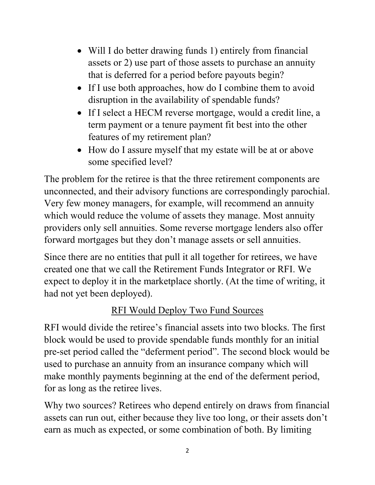- Will I do better drawing funds 1) entirely from financial assets or 2) use part of those assets to purchase an annuity that is deferred for a period before payouts begin?
- If I use both approaches, how do I combine them to avoid disruption in the availability of spendable funds?
- If I select a HECM reverse mortgage, would a credit line, a term payment or a tenure payment fit best into the other features of my retirement plan?
- How do I assure myself that my estate will be at or above some specified level?

The problem for the retiree is that the three retirement components are unconnected, and their advisory functions are correspondingly parochial. Very few money managers, for example, will recommend an annuity which would reduce the volume of assets they manage. Most annuity providers only sell annuities. Some reverse mortgage lenders also offer forward mortgages but they don't manage assets or sell annuities.

Since there are no entities that pull it all together for retirees, we have created one that we call the Retirement Funds Integrator or RFI. We expect to deploy it in the marketplace shortly. (At the time of writing, it had not yet been deployed).

# RFI Would Deploy Two Fund Sources

RFI would divide the retiree's financial assets into two blocks. The first block would be used to provide spendable funds monthly for an initial pre-set period called the "deferment period". The second block would be used to purchase an annuity from an insurance company which will make monthly payments beginning at the end of the deferment period, for as long as the retiree lives.

Why two sources? Retirees who depend entirely on draws from financial assets can run out, either because they live too long, or their assets don't earn as much as expected, or some combination of both. By limiting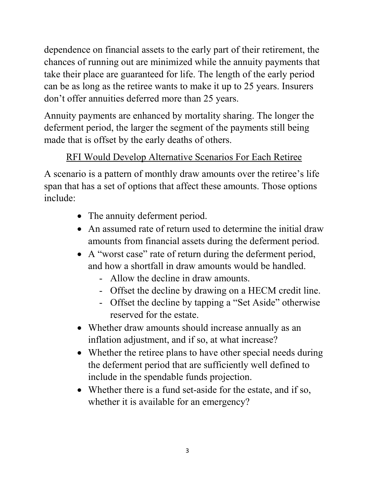dependence on financial assets to the early part of their retirement, the chances of running out are minimized while the annuity payments that take their place are guaranteed for life. The length of the early period can be as long as the retiree wants to make it up to 25 years. Insurers don't offer annuities deferred more than 25 years.

Annuity payments are enhanced by mortality sharing. The longer the deferment period, the larger the segment of the payments still being made that is offset by the early deaths of others.

# RFI Would Develop Alternative Scenarios For Each Retiree

A scenario is a pattern of monthly draw amounts over the retiree's life span that has a set of options that affect these amounts. Those options include:

- The annuity deferment period.
- An assumed rate of return used to determine the initial draw amounts from financial assets during the deferment period.
- A "worst case" rate of return during the deferment period, and how a shortfall in draw amounts would be handled.
	- Allow the decline in draw amounts.
	- Offset the decline by drawing on a HECM credit line.
	- Offset the decline by tapping a "Set Aside" otherwise reserved for the estate.
- Whether draw amounts should increase annually as an inflation adjustment, and if so, at what increase?
- Whether the retiree plans to have other special needs during the deferment period that are sufficiently well defined to include in the spendable funds projection.
- Whether there is a fund set-aside for the estate, and if so, whether it is available for an emergency?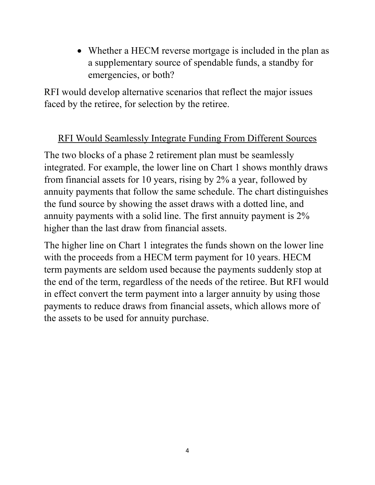• Whether a HECM reverse mortgage is included in the plan as a supplementary source of spendable funds, a standby for emergencies, or both?

RFI would develop alternative scenarios that reflect the major issues faced by the retiree, for selection by the retiree.

# RFI Would Seamlessly Integrate Funding From Different Sources

The two blocks of a phase 2 retirement plan must be seamlessly integrated. For example, the lower line on Chart 1 shows monthly draws from financial assets for 10 years, rising by 2% a year, followed by annuity payments that follow the same schedule. The chart distinguishes the fund source by showing the asset draws with a dotted line, and annuity payments with a solid line. The first annuity payment is 2% higher than the last draw from financial assets.

The higher line on Chart 1 integrates the funds shown on the lower line with the proceeds from a HECM term payment for 10 years. HECM term payments are seldom used because the payments suddenly stop at the end of the term, regardless of the needs of the retiree. But RFI would in effect convert the term payment into a larger annuity by using those payments to reduce draws from financial assets, which allows more of the assets to be used for annuity purchase.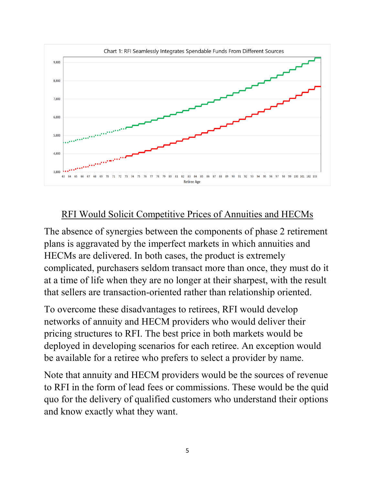

### RFI Would Solicit Competitive Prices of Annuities and HECMs

The absence of synergies between the components of phase 2 retirement plans is aggravated by the imperfect markets in which annuities and HECMs are delivered. In both cases, the product is extremely complicated, purchasers seldom transact more than once, they must do it at a time of life when they are no longer at their sharpest, with the result that sellers are transaction-oriented rather than relationship oriented.

To overcome these disadvantages to retirees, RFI would develop networks of annuity and HECM providers who would deliver their pricing structures to RFI. The best price in both markets would be deployed in developing scenarios for each retiree. An exception would be available for a retiree who prefers to select a provider by name.

Note that annuity and HECM providers would be the sources of revenue to RFI in the form of lead fees or commissions. These would be the quid quo for the delivery of qualified customers who understand their options and know exactly what they want.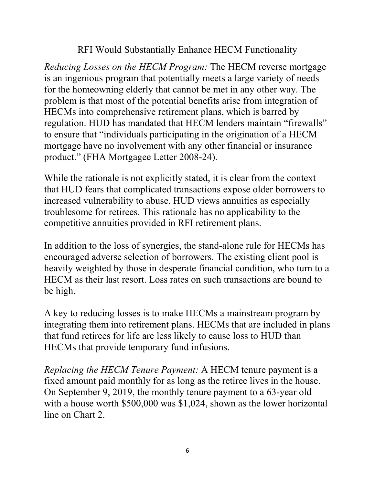### RFI Would Substantially Enhance HECM Functionality

*Reducing Losses on the HECM Program:* The HECM reverse mortgage is an ingenious program that potentially meets a large variety of needs for the homeowning elderly that cannot be met in any other way. The problem is that most of the potential benefits arise from integration of HECMs into comprehensive retirement plans, which is barred by regulation. HUD has mandated that HECM lenders maintain "firewalls" to ensure that "individuals participating in the origination of a HECM mortgage have no involvement with any other financial or insurance product." (FHA Mortgagee Letter 2008-24).

While the rationale is not explicitly stated, it is clear from the context that HUD fears that complicated transactions expose older borrowers to increased vulnerability to abuse. HUD views annuities as especially troublesome for retirees. This rationale has no applicability to the competitive annuities provided in RFI retirement plans.

In addition to the loss of synergies, the stand-alone rule for HECMs has encouraged adverse selection of borrowers. The existing client pool is heavily weighted by those in desperate financial condition, who turn to a HECM as their last resort. Loss rates on such transactions are bound to be high.

A key to reducing losses is to make HECMs a mainstream program by integrating them into retirement plans. HECMs that are included in plans that fund retirees for life are less likely to cause loss to HUD than HECMs that provide temporary fund infusions.

*Replacing the HECM Tenure Payment:* A HECM tenure payment is a fixed amount paid monthly for as long as the retiree lives in the house. On September 9, 2019, the monthly tenure payment to a 63-year old with a house worth \$500,000 was \$1,024, shown as the lower horizontal line on Chart 2.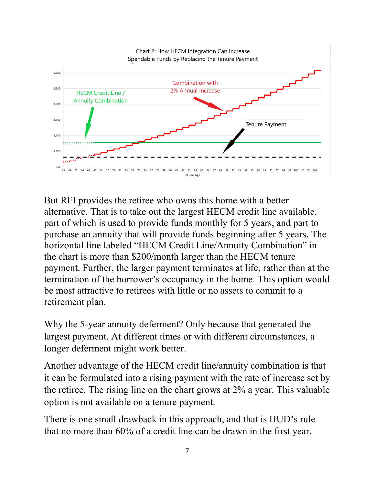

But RFI provides the retiree who owns this home with a better alternative. That is to take out the largest HECM credit line available, part of which is used to provide funds monthly for 5 years, and part to purchase an annuity that will provide funds beginning after 5 years. The horizontal line labeled "HECM Credit Line/Annuity Combination" in the chart is more than \$200/month larger than the HECM tenure payment. Further, the larger payment terminates at life, rather than at the termination of the borrower's occupancy in the home. This option would be most attractive to retirees with little or no assets to commit to a retirement plan.

Why the 5-year annuity deferment? Only because that generated the largest payment. At different times or with different circumstances, a longer deferment might work better.

Another advantage of the HECM credit line/annuity combination is that it can be formulated into a rising payment with the rate of increase set by the retiree. The rising line on the chart grows at 2% a year. This valuable option is not available on a tenure payment.

There is one small drawback in this approach, and that is HUD's rule that no more than 60% of a credit line can be drawn in the first year.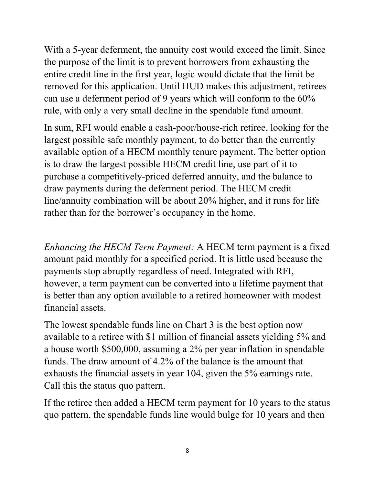With a 5-year deferment, the annuity cost would exceed the limit. Since the purpose of the limit is to prevent borrowers from exhausting the entire credit line in the first year, logic would dictate that the limit be removed for this application. Until HUD makes this adjustment, retirees can use a deferment period of 9 years which will conform to the 60% rule, with only a very small decline in the spendable fund amount.

In sum, RFI would enable a cash-poor/house-rich retiree, looking for the largest possible safe monthly payment, to do better than the currently available option of a HECM monthly tenure payment. The better option is to draw the largest possible HECM credit line, use part of it to purchase a competitively-priced deferred annuity, and the balance to draw payments during the deferment period. The HECM credit line/annuity combination will be about 20% higher, and it runs for life rather than for the borrower's occupancy in the home.

*Enhancing the HECM Term Payment:* A HECM term payment is a fixed amount paid monthly for a specified period. It is little used because the payments stop abruptly regardless of need. Integrated with RFI, however, a term payment can be converted into a lifetime payment that is better than any option available to a retired homeowner with modest financial assets.

The lowest spendable funds line on Chart 3 is the best option now available to a retiree with \$1 million of financial assets yielding 5% and a house worth \$500,000, assuming a 2% per year inflation in spendable funds. The draw amount of 4.2% of the balance is the amount that exhausts the financial assets in year 104, given the 5% earnings rate. Call this the status quo pattern.

If the retiree then added a HECM term payment for 10 years to the status quo pattern, the spendable funds line would bulge for 10 years and then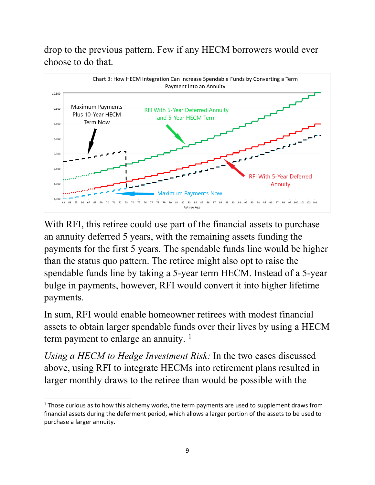drop to the previous pattern. Few if any HECM borrowers would ever choose to do that.



With RFI, this retiree could use part of the financial assets to purchase an annuity deferred 5 years, with the remaining assets funding the payments for the first 5 years. The spendable funds line would be higher than the status quo pattern. The retiree might also opt to raise the spendable funds line by taking a 5-year term HECM. Instead of a 5-year bulge in payments, however, RFI would convert it into higher lifetime payments.

In sum, RFI would enable homeowner retirees with modest financial assets to obtain larger spendable funds over their lives by using a HECM term payment to enlarge an annuity.<sup>[1](#page-8-0)</sup>

*Using a HECM to Hedge Investment Risk:* In the two cases discussed above, using RFI to integrate HECMs into retirement plans resulted in larger monthly draws to the retiree than would be possible with the

<span id="page-8-0"></span> $1$  Those curious as to how this alchemy works, the term payments are used to supplement draws from financial assets during the deferment period, which allows a larger portion of the assets to be used to purchase a larger annuity.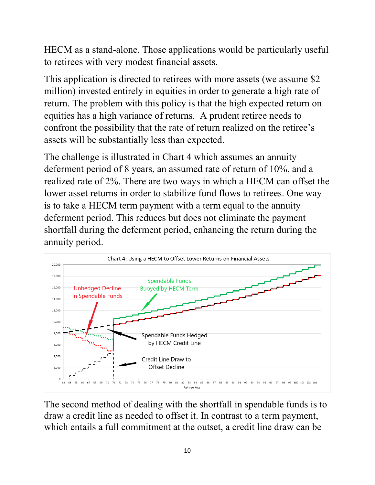HECM as a stand-alone. Those applications would be particularly useful to retirees with very modest financial assets.

This application is directed to retirees with more assets (we assume \$2 million) invested entirely in equities in order to generate a high rate of return. The problem with this policy is that the high expected return on equities has a high variance of returns. A prudent retiree needs to confront the possibility that the rate of return realized on the retiree's assets will be substantially less than expected.

The challenge is illustrated in Chart 4 which assumes an annuity deferment period of 8 years, an assumed rate of return of 10%, and a realized rate of 2%. There are two ways in which a HECM can offset the lower asset returns in order to stabilize fund flows to retirees. One way is to take a HECM term payment with a term equal to the annuity deferment period. This reduces but does not eliminate the payment shortfall during the deferment period, enhancing the return during the annuity period.



The second method of dealing with the shortfall in spendable funds is to draw a credit line as needed to offset it. In contrast to a term payment, which entails a full commitment at the outset, a credit line draw can be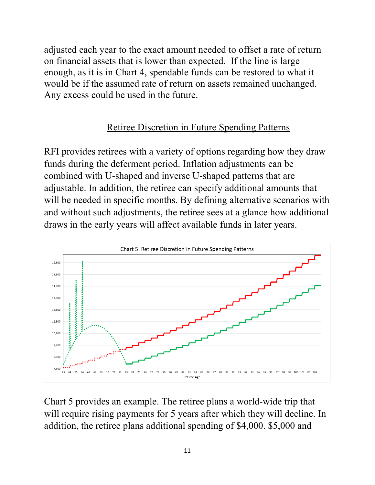adjusted each year to the exact amount needed to offset a rate of return on financial assets that is lower than expected. If the line is large enough, as it is in Chart 4, spendable funds can be restored to what it would be if the assumed rate of return on assets remained unchanged. Any excess could be used in the future.

#### Retiree Discretion in Future Spending Patterns

RFI provides retirees with a variety of options regarding how they draw funds during the deferment period. Inflation adjustments can be combined with U-shaped and inverse U-shaped patterns that are adjustable. In addition, the retiree can specify additional amounts that will be needed in specific months. By defining alternative scenarios with and without such adjustments, the retiree sees at a glance how additional draws in the early years will affect available funds in later years.



Chart 5 provides an example. The retiree plans a world-wide trip that will require rising payments for 5 years after which they will decline. In addition, the retiree plans additional spending of \$4,000. \$5,000 and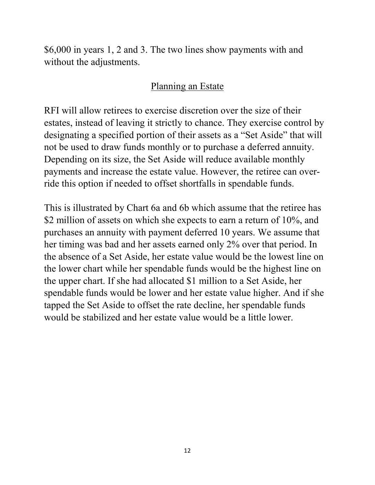\$6,000 in years 1, 2 and 3. The two lines show payments with and without the adjustments.

#### Planning an Estate

RFI will allow retirees to exercise discretion over the size of their estates, instead of leaving it strictly to chance. They exercise control by designating a specified portion of their assets as a "Set Aside" that will not be used to draw funds monthly or to purchase a deferred annuity. Depending on its size, the Set Aside will reduce available monthly payments and increase the estate value. However, the retiree can override this option if needed to offset shortfalls in spendable funds.

This is illustrated by Chart 6a and 6b which assume that the retiree has \$2 million of assets on which she expects to earn a return of 10%, and purchases an annuity with payment deferred 10 years. We assume that her timing was bad and her assets earned only 2% over that period. In the absence of a Set Aside, her estate value would be the lowest line on the lower chart while her spendable funds would be the highest line on the upper chart. If she had allocated \$1 million to a Set Aside, her spendable funds would be lower and her estate value higher. And if she tapped the Set Aside to offset the rate decline, her spendable funds would be stabilized and her estate value would be a little lower.